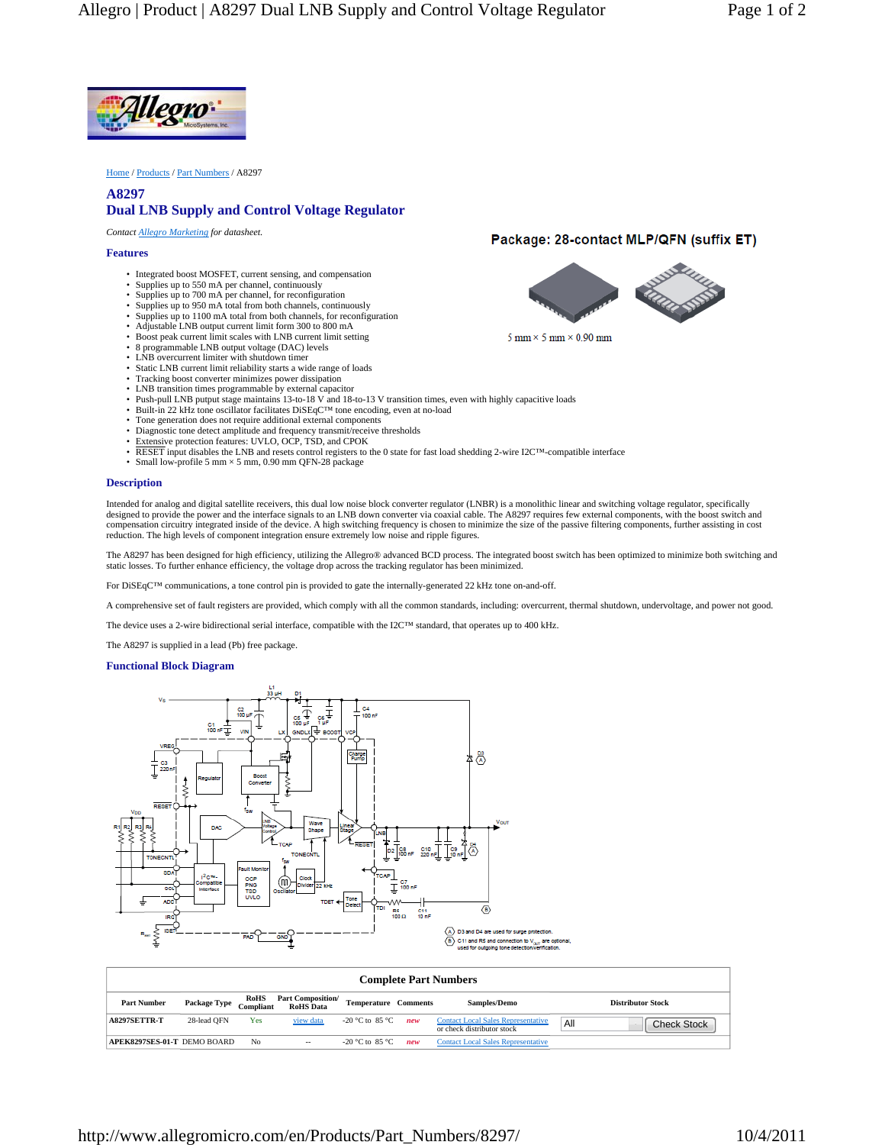

Home / Products / Part Numbers / A8297

## **A8297 Dual LNB Supply and Control Voltage Regulator**

*Contact Allegro Marketing for datasheet.*

## **Features**

- Integrated boost MOSFET, current sensing, and compensation
- Supplies up to 550 mA per channel, continuously
- Supplies up to 700 mA per channel, for reconfiguration
- Supplies up to 950 mA total from both channels, continuously • Supplies up to 1100 mA total from both channels, for reconfiguration
- Adjustable LNB output current limit form 300 to 800 mA
- Boost peak current limit scales with LNB current limit setting
- 8 programmable LNB output voltage (DAC) levels
- LNB overcurrent limiter with shutdown timer
- 
- Static LNB current limit reliability starts a wide range of loads Tracking boost converter minimizes power dissipation
- LNB transition times programmable by external capacitor
- Push-pull LNB putput stage maintains 13-to-18 V and 18-to-13 V transition times, even with highly capacitive loads<br>• Built-in 22 kHz tone oscillator facilitates DiSEqC™ tone encoding, even at no-load
- 
- Tone generation does not require additional external components
- Diagnostic tone detect amplitude and frequency transmit/receive thresholds
- Extensive protection features: UVLO, OCP, TSD, and CPOK
- RESET input disables the LNB and resets control registers to the 0 state for fast load shedding 2-wire I2C™-compatible interface Small low-profile 5 mm × 5 mm, 0.90 mm QFN-28 package
- **Description**

Intended for analog and digital satellite receivers, this dual low noise block converter regulator (LNBR) is a monolithic linear and switching voltage regulator, specifically designed to provide the power and the interface signals to an LNB down converter via coaxial cable. The A8297 requires few external components, with the boost switch and compensation circuitry integrated inside of the device. A high switching frequency is chosen to minimize the size of the passive filtering components, further assisting in cost reduction. The high levels of component integration ensure extremely low noise and ripple figures.

The A8297 has been designed for high efficiency, utilizing the Allegro® advanced BCD process. The integrated boost switch has been optimized to minimize both switching and static losses. To further enhance efficiency, the voltage drop across the tracking regulator has been minimized.

For DiSEqC™ communications, a tone control pin is provided to gate the internally-generated 22 kHz tone on-and-off.

A comprehensive set of fault registers are provided, which comply with all the common standards, including: overcurrent, thermal shutdown, undervoltage, and power not good.

The device uses a 2-wire bidirectional serial interface, compatible with the I2C™ standard, that operates up to 400 kHz.

The A8297 is supplied in a lead (Pb) free package.

## **Functional Block Diagram**



| <b>Complete Part Numbers</b> |              |                   |                                              |                             |     |                                                                         |     |                          |
|------------------------------|--------------|-------------------|----------------------------------------------|-----------------------------|-----|-------------------------------------------------------------------------|-----|--------------------------|
| <b>Part Number</b>           | Package Type | RoHS<br>Compliant | <b>Part Composition/</b><br><b>RoHS</b> Data | <b>Temperature Comments</b> |     | <b>Samples/Demo</b>                                                     |     | <b>Distributor Stock</b> |
| <b>A8297SETTR-T</b>          | 28-lead OFN  | Yes               | view data                                    | -20 °C to 85 °C             | new | <b>Contact Local Sales Representative</b><br>or check distributor stock | All | <b>Check Stock</b>       |
| APEK8297SES-01-T DEMO BOARD  |              | N <sub>0</sub>    | $\qquad \qquad -$                            | -20 °C to 85 °C             | new | <b>Contact Local Sales Representative</b>                               |     |                          |

## Package: 28-contact MLP/QFN (suffix ET)